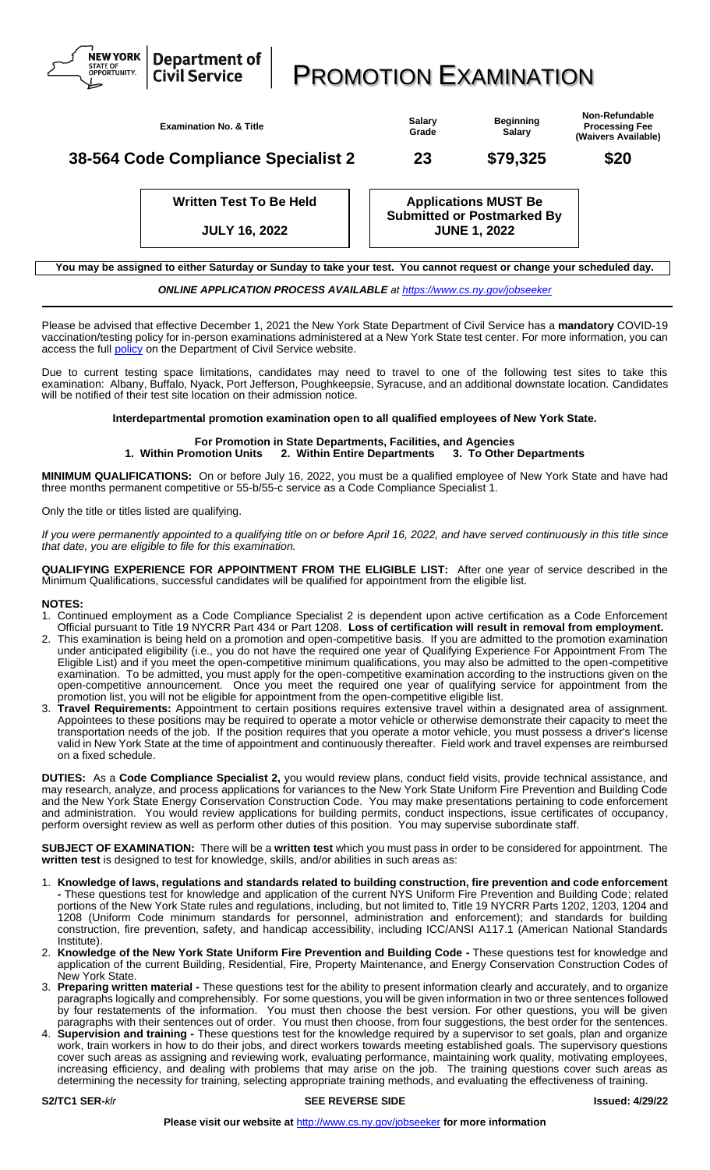

| <b>Examination No. &amp; Title</b>  | Salarv<br>Grade | <b>Beginning</b><br>Salary | Non-Refundable<br><b>Processing Fee</b><br>(Waivers Available) |
|-------------------------------------|-----------------|----------------------------|----------------------------------------------------------------|
| 38-564 Code Compliance Specialist 2 | 23              | \$79,325                   | \$20                                                           |

**Written Test To Be Held**

**JULY 16, 2022**

access the full **policy** on the Department of Civil Service website.

**Applications MUST Be Submitted or Postmarked By JUNE 1, 2022**

**You may be assigned to either Saturday or Sunday to take your test. You cannot request or change your scheduled day.** *ONLINE APPLICATION PROCESS AVAILABLE at<https://www.cs.ny.gov/jobseeker>*

Please be advised that effective December 1, 2021 the New York State Department of Civil Service has a **mandatory** COVID-19 vaccination/testing policy for in-person examinations administered at a New York State test center. For more information, you can

Due to current testing space limitations, candidates may need to travel to one of the following test sites to take this examination: Albany, Buffalo, Nyack, Port Jefferson, Poughkeepsie, Syracuse, and an additional downstate location. Candidates will be notified of their test site location on their admission notice.

**Interdepartmental promotion examination open to all qualified employees of New York State.**

## **For Promotion in State Departments, Facilities, and Agencies 1. Within Promotion Units 2. Within Entire Departments 3. To Other Departments**

**MINIMUM QUALIFICATIONS:** On or before July 16, 2022, you must be a qualified employee of New York State and have had three months permanent competitive or 55-b/55-c service as a Code Compliance Specialist 1.

Only the title or titles listed are qualifying.

NEW YORK

If you were permanently appointed to a qualifying title on or before April 16, 2022, and have served continuously in this title since *that date, you are eligible to file for this examination.*

**QUALIFYING EXPERIENCE FOR APPOINTMENT FROM THE ELIGIBLE LIST:** After one year of service described in the Minimum Qualifications, successful candidates will be qualified for appointment from the eligible list.

## **NOTES:**

- 1. Continued employment as a Code Compliance Specialist 2 is dependent upon active certification as a Code Enforcement Official pursuant to Title 19 NYCRR Part 434 or Part 1208. **Loss of certification will result in removal from employment.**
- 2. This examination is being held on a promotion and open-competitive basis. If you are admitted to the promotion examination under anticipated eligibility (i.e., you do not have the required one year of Qualifying Experience For Appointment From The Eligible List) and if you meet the open-competitive minimum qualifications, you may also be admitted to the open-competitive examination. To be admitted, you must apply for the open-competitive examination according to the instructions given on the open-competitive announcement. Once you meet the required one year of qualifying service for appointment from the promotion list, you will not be eligible for appointment from the open-competitive eligible list.
- Travel Requirements: Appointment to certain positions requires extensive travel within a designated area of assignment. Appointees to these positions may be required to operate a motor vehicle or otherwise demonstrate their capacity to meet the transportation needs of the job. If the position requires that you operate a motor vehicle, you must possess a driver's license valid in New York State at the time of appointment and continuously thereafter. Field work and travel expenses are reimbursed on a fixed schedule.

**DUTIES:** As a **Code Compliance Specialist 2,** you would review plans, conduct field visits, provide technical assistance, and may research, analyze, and process applications for variances to the New York State Uniform Fire Prevention and Building Code and the New York State Energy Conservation Construction Code. You may make presentations pertaining to code enforcement and administration. You would review applications for building permits, conduct inspections, issue certificates of occupancy, perform oversight review as well as perform other duties of this position. You may supervise subordinate staff.

**SUBJECT OF EXAMINATION:** There will be a **written test** which you must pass in order to be considered for appointment. The **written test** is designed to test for knowledge, skills, and/or abilities in such areas as:

- 1. **Knowledge of laws, regulations and standards related to building construction, fire prevention and code enforcement -** These questions test for knowledge and application of the current NYS Uniform Fire Prevention and Building Code; related portions of the New York State rules and regulations, including, but not limited to, Title 19 NYCRR Parts 1202, 1203, 1204 and 1208 (Uniform Code minimum standards for personnel, administration and enforcement); and standards for building construction, fire prevention, safety, and handicap accessibility, including ICC/ANSI A117.1 (American National Standards Institute).
- 2. **Knowledge of the New York State Uniform Fire Prevention and Building Code -** These questions test for knowledge and application of the current Building, Residential, Fire, Property Maintenance, and Energy Conservation Construction Codes of New York State.
- 3. **Preparing written material -** These questions test for the ability to present information clearly and accurately, and to organize paragraphs logically and comprehensibly. For some questions, you will be given information in two or three sentences followed by four restatements of the information. You must then choose the best version. For other questions, you will be given paragraphs with their sentences out of order. You must then choose, from four suggestions, the best order for the sentences.
- 4. **Supervision and training -** These questions test for the knowledge required by a supervisor to set goals, plan and organize work, train workers in how to do their jobs, and direct workers towards meeting established goals. The supervisory questions cover such areas as assigning and reviewing work, evaluating performance, maintaining work quality, motivating employees, increasing efficiency, and dealing with problems that may arise on the job. The training questions cover such areas as determining the necessity for training, selecting appropriate training methods, and evaluating the effectiveness of training.